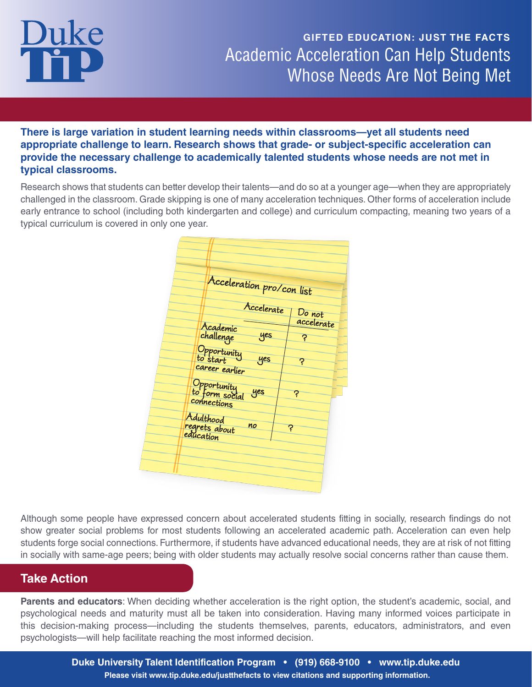### **GIFTED EDUCATION: JUST THE FACTS** Academic Acceleration Can Help Students Whose Needs Are Not Being Met

**There is large variation in student learning needs within classrooms—yet all students need appropriate challenge to learn. Research shows that grade- or subject-specific acceleration can provide the necessary challenge to academically talented students whose needs are not met in typical classrooms.** 

Research shows that students can better develop their talents—and do so at a younger age—when they are appropriately challenged in the classroom. Grade skipping is one of many acceleration techniques. Other forms of acceleration include early entrance to school (including both kindergarten and college) and curriculum compacting, meaning two years of a typical curriculum is covered in only one year.

|                               | Acceleration pro/con list |            |
|-------------------------------|---------------------------|------------|
|                               | Accelerate                | Do not     |
| Academic                      |                           | accelerate |
| challenge                     | yes                       | Ş          |
| Opportunity<br>to start       |                           |            |
| career earlier                | yes                       | ၃          |
|                               |                           |            |
| Opportunity<br>to form social | yes                       | ၃          |
| connections                   |                           |            |
| Adulthood                     |                           |            |
| regrets about<br>education    | no                        | ၃          |
|                               |                           |            |

Although some people have expressed concern about accelerated students fitting in socially, research findings do not show greater social problems for most students following an accelerated academic path. Acceleration can even help students forge social connections. Furthermore, if students have advanced educational needs, they are at risk of not fitting in socially with same-age peers; being with older students may actually resolve social concerns rather than cause them.

#### **Take Action**

**Parents and educators**: When deciding whether acceleration is the right option, the student's academic, social, and psychological needs and maturity must all be taken into consideration. Having many informed voices participate in this decision-making process—including the students themselves, parents, educators, administrators, and even psychologists—will help facilitate reaching the most informed decision.